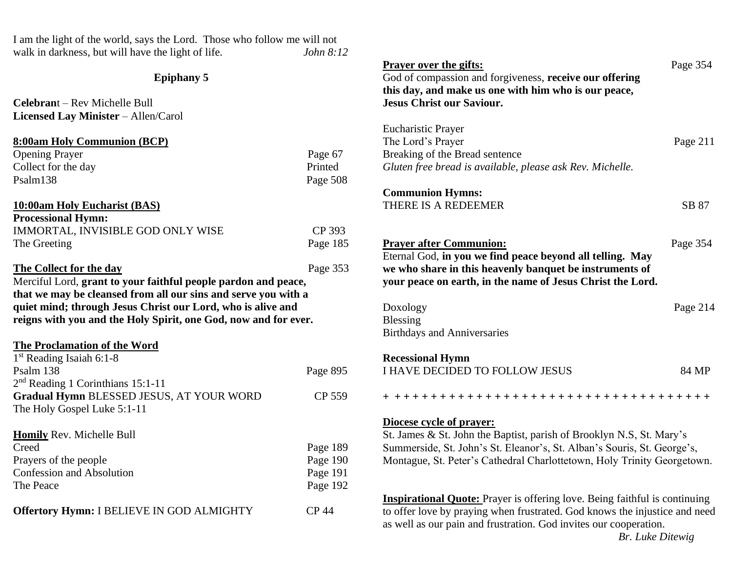I am the light of the world, says the Lord. Those who follow me will not walk in darkness, but will have the light of life. *John 8:12* 

## **Epiphany 5**

**Celebran**t – Rev Michelle Bull **Licensed Lay Minister** – Allen/Carol

# **8:00am Holy Communion (BCP)**

| <b>Opening Prayer</b> | Page 67  |
|-----------------------|----------|
| Collect for the day   | Printed  |
| Psalm138              | Page 508 |

## **10:00am Holy Eucharist (BAS)**

| <b>Processional Hymn:</b>         |          |
|-----------------------------------|----------|
| IMMORTAL, INVISIBLE GOD ONLY WISE | CP 393   |
| The Greeting                      | Page 185 |

## **The Collect for the day** Page 353

Merciful Lord, **grant to your faithful people pardon and peace, that we may be cleansed from all our sins and serve you with a quiet mind; through Jesus Christ our Lord, who is alive and reigns with you and the Holy Spirit, one God, now and for ever.**

#### **The Proclamation of the Word**

| $1st$ Reading Isaiah 6:1-8               |          |
|------------------------------------------|----------|
| Psalm 138                                | Page 895 |
| $2nd$ Reading 1 Corinthians 15:1-11      |          |
| Gradual Hymn BLESSED JESUS, AT YOUR WORD | CP 559   |
| The Holy Gospel Luke 5:1-11              |          |
|                                          |          |
| <b>Homily Rev. Michelle Bull</b>         |          |
| Creed                                    | Page 189 |
| Prayers of the people                    | Page 190 |
| <b>Confession and Absolution</b>         | Page 191 |
| The Peace                                | Page 192 |
|                                          |          |

**Offertory Hymn:** I BELIEVE IN GOD ALMIGHTY CP 44

| <b>Prayer over the gifts:</b><br>God of compassion and forgiveness, receive our offering<br>this day, and make us one with him who is our peace,<br><b>Jesus Christ our Saviour.</b>                                                                   | Page 354 |  |
|--------------------------------------------------------------------------------------------------------------------------------------------------------------------------------------------------------------------------------------------------------|----------|--|
| <b>Eucharistic Prayer</b><br>The Lord's Prayer<br>Breaking of the Bread sentence<br>Gluten free bread is available, please ask Rev. Michelle.                                                                                                          | Page 211 |  |
| <b>Communion Hymns:</b><br>THERE IS A REDEEMER                                                                                                                                                                                                         | SB 87    |  |
| <b>Prayer after Communion:</b><br>Eternal God, in you we find peace beyond all telling. May<br>we who share in this heavenly banquet be instruments of<br>your peace on earth, in the name of Jesus Christ the Lord.                                   | Page 354 |  |
| Doxology<br>Blessing<br><b>Birthdays and Anniversaries</b>                                                                                                                                                                                             | Page 214 |  |
| <b>Recessional Hymn</b><br>I HAVE DECIDED TO FOLLOW JESUS                                                                                                                                                                                              | 84 MP    |  |
| + ++++++++++++++++++++++++++++++++++++                                                                                                                                                                                                                 |          |  |
| Diocese cycle of prayer:<br>St. James & St. John the Baptist, parish of Brooklyn N.S, St. Mary's<br>Summerside, St. John's St. Eleanor's, St. Alban's Souris, St. George's,<br>Montague, St. Peter's Cathedral Charlottetown, Holy Trinity Georgetown. |          |  |
| <b>Inspirational Quote:</b> Prayer is offering love. Being faithful is continuing<br>to offer love by praying when frustrated. God knows the injustice and need<br>as well as our pain and frustration. God invites our cooperation.                   |          |  |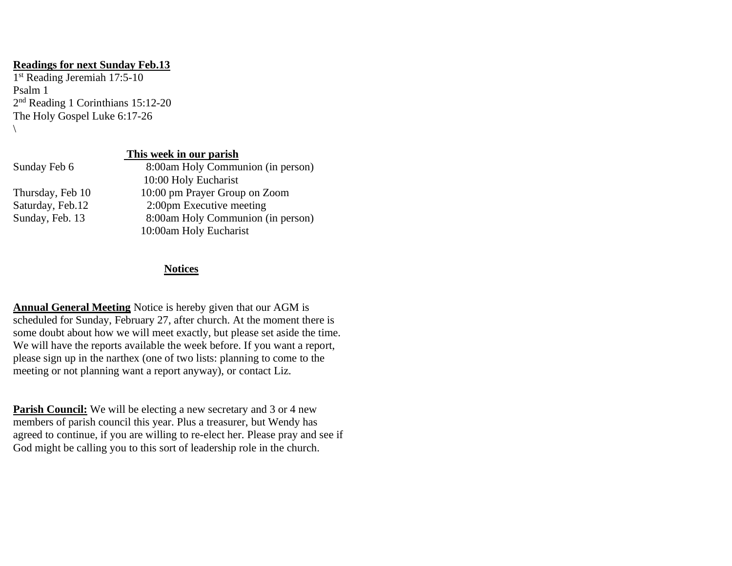#### **Readings for next Sunday Feb.13**

1 st Reading Jeremiah 17:5-10 Psalm 1 2<sup>nd</sup> Reading 1 Corinthians 15:12-20 The Holy Gospel Luke 6:17-26  $\backslash$ 

## **This week in our parish**

| Sunday Feb 6     | 8:00am Holy Communion (in person) |
|------------------|-----------------------------------|
|                  | 10:00 Holy Eucharist              |
| Thursday, Feb 10 | 10:00 pm Prayer Group on Zoom     |
| Saturday, Feb.12 | 2:00pm Executive meeting          |
| Sunday, Feb. 13  | 8:00am Holy Communion (in person) |
|                  | 10:00am Holy Eucharist            |

## **Notices**

**Annual General Meeting** Notice is hereby given that our AGM is scheduled for Sunday, February 27, after church. At the moment there is some doubt about how we will meet exactly, but please set aside the time. We will have the reports available the week before. If you want a report, please sign up in the narthex (one of two lists: planning to come to the meeting or not planning want a report anyway), or contact Liz.

**Parish Council:** We will be electing a new secretary and 3 or 4 new members of parish council this year. Plus a treasurer, but Wendy has agreed to continue, if you are willing to re-elect her. Please pray and see if God might be calling you to this sort of leadership role in the church.